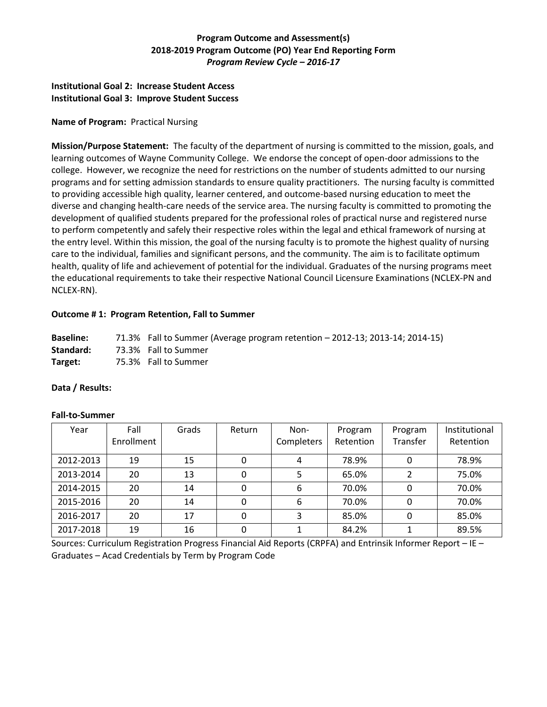# **Program Outcome and Assessment(s) 2018-2019 Program Outcome (PO) Year End Reporting Form** *Program Review Cycle – 2016-17*

## **Institutional Goal 2: Increase Student Access Institutional Goal 3: Improve Student Success**

## **Name of Program:** Practical Nursing

**Mission/Purpose Statement:** The faculty of the department of nursing is committed to the mission, goals, and learning outcomes of Wayne Community College. We endorse the concept of open-door admissions to the college. However, we recognize the need for restrictions on the number of students admitted to our nursing programs and for setting admission standards to ensure quality practitioners. The nursing faculty is committed to providing accessible high quality, learner centered, and outcome-based nursing education to meet the diverse and changing health-care needs of the service area. The nursing faculty is committed to promoting the development of qualified students prepared for the professional roles of practical nurse and registered nurse to perform competently and safely their respective roles within the legal and ethical framework of nursing at the entry level. Within this mission, the goal of the nursing faculty is to promote the highest quality of nursing care to the individual, families and significant persons, and the community. The aim is to facilitate optimum health, quality of life and achievement of potential for the individual. Graduates of the nursing programs meet the educational requirements to take their respective National Council Licensure Examinations (NCLEX-PN and NCLEX-RN).

## **Outcome # 1: Program Retention, Fall to Summer**

**Baseline:** 71.3% Fall to Summer (Average program retention – 2012-13; 2013-14; 2014-15) **Standard:** 73.3% Fall to Summer **Target:** 75.3% Fall to Summer

### **Data / Results:**

| Year      | Fall<br>Enrollment | Grads | Return | Non-<br>Completers | Program<br>Retention | Program<br>Transfer | Institutional<br>Retention |
|-----------|--------------------|-------|--------|--------------------|----------------------|---------------------|----------------------------|
| 2012-2013 | 19                 | 15    | 0      |                    | 78.9%                |                     | 78.9%                      |
| 2013-2014 | 20                 | 13    | 0      |                    | 65.0%                |                     | 75.0%                      |
| 2014-2015 | 20                 | 14    | 0      | 6                  | 70.0%                | 0                   | 70.0%                      |
| 2015-2016 | 20                 | 14    | 0      | 6                  | 70.0%                |                     | 70.0%                      |
| 2016-2017 | 20                 | 17    | 0      | 3                  | 85.0%                |                     | 85.0%                      |
| 2017-2018 | 19                 | 16    | 0      |                    | 84.2%                |                     | 89.5%                      |

### **Fall-to-Summer**

Sources: Curriculum Registration Progress Financial Aid Reports (CRPFA) and Entrinsik Informer Report – IE – Graduates – Acad Credentials by Term by Program Code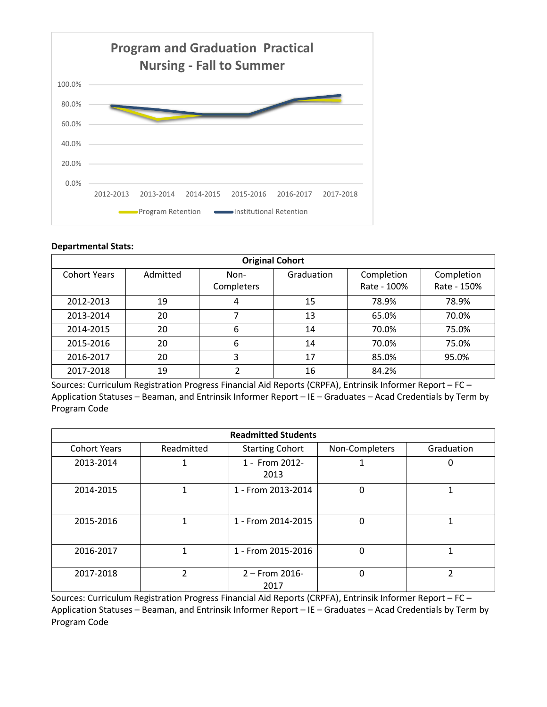

### **Departmental Stats:**

| <b>Original Cohort</b> |          |                    |            |                           |                           |
|------------------------|----------|--------------------|------------|---------------------------|---------------------------|
| <b>Cohort Years</b>    | Admitted | Non-<br>Completers | Graduation | Completion<br>Rate - 100% | Completion<br>Rate - 150% |
| 2012-2013              | 19       | 4                  | 15         | 78.9%                     | 78.9%                     |
| 2013-2014              | 20       |                    | 13         | 65.0%                     | 70.0%                     |
| 2014-2015              | 20       | 6                  | 14         | 70.0%                     | 75.0%                     |
| 2015-2016              | 20       | 6                  | 14         | 70.0%                     | 75.0%                     |
| 2016-2017              | 20       | 3                  | 17         | 85.0%                     | 95.0%                     |
| 2017-2018              | 19       |                    | 16         | 84.2%                     |                           |

Sources: Curriculum Registration Progress Financial Aid Reports (CRPFA), Entrinsik Informer Report – FC – Application Statuses – Beaman, and Entrinsik Informer Report – IE – Graduates – Acad Credentials by Term by Program Code

| <b>Readmitted Students</b> |               |                          |                |            |  |
|----------------------------|---------------|--------------------------|----------------|------------|--|
| <b>Cohort Years</b>        | Readmitted    | <b>Starting Cohort</b>   | Non-Completers | Graduation |  |
| 2013-2014                  |               | 1 - From 2012-<br>2013   |                | O          |  |
| 2014-2015                  | 1             | 1 - From 2013-2014       | 0              |            |  |
| 2015-2016                  | 1             | 1 - From 2014-2015       | 0              |            |  |
| 2016-2017                  | 1             | 1 - From 2015-2016       | 0              |            |  |
| 2017-2018                  | $\mathcal{P}$ | $2 -$ From 2016-<br>2017 | 0              | າ          |  |

Sources: Curriculum Registration Progress Financial Aid Reports (CRPFA), Entrinsik Informer Report – FC – Application Statuses – Beaman, and Entrinsik Informer Report – IE – Graduates – Acad Credentials by Term by Program Code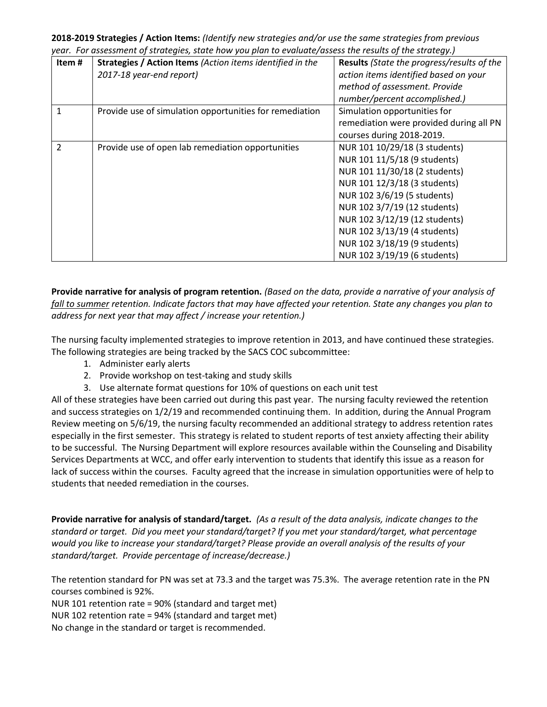**2018-2019 Strategies / Action Items:** *(Identify new strategies and/or use the same strategies from previous year. For assessment of strategies, state how you plan to evaluate/assess the results of the strategy.)*

| Item#          | Strategies / Action Items (Action items identified in the<br>2017-18 year-end report) | Results (State the progress/results of the<br>action items identified based on your<br>method of assessment. Provide<br>number/percent accomplished.)                                                                                                                                                                          |
|----------------|---------------------------------------------------------------------------------------|--------------------------------------------------------------------------------------------------------------------------------------------------------------------------------------------------------------------------------------------------------------------------------------------------------------------------------|
| 1              | Provide use of simulation opportunities for remediation                               | Simulation opportunities for<br>remediation were provided during all PN<br>courses during 2018-2019.                                                                                                                                                                                                                           |
| $\mathfrak{p}$ | Provide use of open lab remediation opportunities                                     | NUR 101 10/29/18 (3 students)<br>NUR 101 11/5/18 (9 students)<br>NUR 101 11/30/18 (2 students)<br>NUR 101 12/3/18 (3 students)<br>NUR 102 3/6/19 (5 students)<br>NUR 102 3/7/19 (12 students)<br>NUR 102 3/12/19 (12 students)<br>NUR 102 3/13/19 (4 students)<br>NUR 102 3/18/19 (9 students)<br>NUR 102 3/19/19 (6 students) |

**Provide narrative for analysis of program retention.** *(Based on the data, provide a narrative of your analysis of fall to summer retention. Indicate factors that may have affected your retention. State any changes you plan to address for next year that may affect / increase your retention.)* 

The nursing faculty implemented strategies to improve retention in 2013, and have continued these strategies. The following strategies are being tracked by the SACS COC subcommittee:

- 1. Administer early alerts
- 2. Provide workshop on test-taking and study skills
- 3. Use alternate format questions for 10% of questions on each unit test

All of these strategies have been carried out during this past year. The nursing faculty reviewed the retention and success strategies on 1/2/19 and recommended continuing them. In addition, during the Annual Program Review meeting on 5/6/19, the nursing faculty recommended an additional strategy to address retention rates especially in the first semester. This strategy is related to student reports of test anxiety affecting their ability to be successful. The Nursing Department will explore resources available within the Counseling and Disability Services Departments at WCC, and offer early intervention to students that identify this issue as a reason for lack of success within the courses. Faculty agreed that the increase in simulation opportunities were of help to students that needed remediation in the courses.

**Provide narrative for analysis of standard/target.** *(As a result of the data analysis, indicate changes to the standard or target. Did you meet your standard/target? If you met your standard/target, what percentage would you like to increase your standard/target? Please provide an overall analysis of the results of your standard/target. Provide percentage of increase/decrease.)* 

The retention standard for PN was set at 73.3 and the target was 75.3%. The average retention rate in the PN courses combined is 92%.

NUR 101 retention rate = 90% (standard and target met)

NUR 102 retention rate = 94% (standard and target met)

No change in the standard or target is recommended.